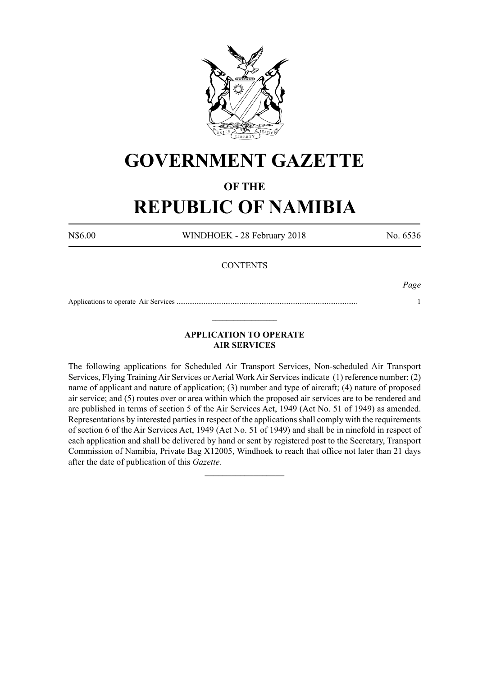

# **GOVERNMENT GAZETTE**

## **OF THE**

# **REPUBLIC OF NAMIBIA**

N\$6.00 WINDHOEK - 28 February 2018 No. 6536

## **CONTENTS**

*Page*

Applications to operate Air Services .................................................................................................... 1  $\_$ 

## **APPLICATION TO OPERATE AIR SERVICES**

The following applications for Scheduled Air Transport Services, Non-scheduled Air Transport Services, Flying Training Air Services or Aerial Work Air Services indicate (1) reference number; (2) name of applicant and nature of application; (3) number and type of aircraft; (4) nature of proposed air service; and (5) routes over or area within which the proposed air services are to be rendered and are published in terms of section 5 of the Air Services Act, 1949 (Act No. 51 of 1949) as amended. Representations by interested parties in respect of the applications shall comply with the requirements of section 6 of the Air Services Act, 1949 (Act No. 51 of 1949) and shall be in ninefold in respect of each application and shall be delivered by hand or sent by registered post to the Secretary, Transport Commission of Namibia, Private Bag X12005, Windhoek to reach that office not later than 21 days after the date of publication of this *Gazette.*

 $\frac{1}{2}$  ,  $\frac{1}{2}$  ,  $\frac{1}{2}$  ,  $\frac{1}{2}$  ,  $\frac{1}{2}$  ,  $\frac{1}{2}$  ,  $\frac{1}{2}$  ,  $\frac{1}{2}$  ,  $\frac{1}{2}$  ,  $\frac{1}{2}$  ,  $\frac{1}{2}$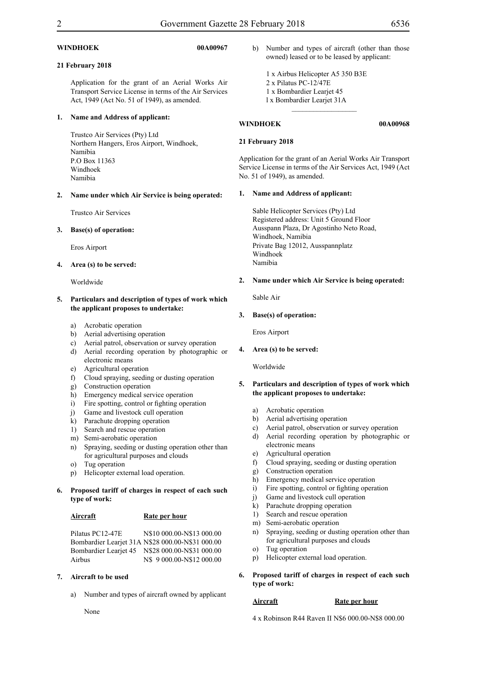### **WINDHOEK 00A00967**

### **21 February 2018**

Application for the grant of an Aerial Works Air Transport Service License in terms of the Air Services Act, 1949 (Act No. 51 of 1949), as amended.

### **1. Name and Address of applicant:**

Trustco Air Services (Pty) Ltd Northern Hangers, Eros Airport, Windhoek, Namibia P.O Box 11363 Windhoek Namibia

**2. Name under which Air Service is being operated:**

Trustco Air Services

### **3. Base(s) of operation:**

Eros Airport

**4. Area (s) to be served:**

Worldwide

### **5. Particulars and description of types of work which the applicant proposes to undertake:**

- a) Acrobatic operation
- b) Aerial advertising operation
- c) Aerial patrol, observation or survey operation
- d) Aerial recording operation by photographic or electronic means
- e) Agricultural operation
- f) Cloud spraying, seeding or dusting operation
- g) Construction operation
- h) Emergency medical service operation
- i) Fire spotting, control or fighting operation
- j) Game and livestock cull operation
- k) Parachute dropping operation
- 1) Search and rescue operation
- m) Semi-aerobatic operation
- n) Spraying, seeding or dusting operation other than for agricultural purposes and clouds
- o) Tug operation
- p) Helicopter external load operation.
- **6. Proposed tariff of charges in respect of each such type of work:**

### **Aircraft Rate per hour**

Pilatus PC12-47E N\$10 000.00-N\$13 000.00 Bombardier Learjet 31A N\$28 000.00-N\$31 000.00 Bombardier Learjet 45 N\$28 000.00-N\$31 000.00 Airbus N\$ 9 000.00-N\$12 000.00

### **7. Aircraft to be used**

a) Number and types of aircraft owned by applicant

None

b) Number and types of aircraft (other than those owned) leased or to be leased by applicant:

1 x Airbus Helicopter A5 350 B3E 2 x Pilatus PC-12/47E 1 x Bombardier Learjet 45 l x Bombardier Learjet 31A

 $\_$ 

### **WINDHOEK 00A00968**

**21 February 2018**

Application for the grant of an Aerial Works Air Transport Service License in terms of the Air Services Act, 1949 (Act No. 51 of 1949), as amended.

### **1. Name and Address of applicant:**

Sable Helicopter Services (Pty) Ltd Registered address: Unit 5 Ground Floor Ausspann Plaza, Dr Agostinho Neto Road, Windhoek, Namibia Private Bag 12012, Ausspannplatz Windhoek Namibia

### **2. Name under which Air Service is being operated:**

Sable Air

### **3. Base(s) of operation:**

Eros Airport

**4. Area (s) to be served:**

Worldwide

### **5. Particulars and description of types of work which the applicant proposes to undertake:**

- a) Acrobatic operation
- b) Aerial advertising operation
- c) Aerial patrol, observation or survey operation
- d) Aerial recording operation by photographic or electronic means
- e) Agricultural operation
- f) Cloud spraying, seeding or dusting operation
- g) Construction operation
- h) Emergency medical service operation
- i) Fire spotting, control or fighting operation
- j) Game and livestock cull operation
- k) Parachute dropping operation
- 1) Search and rescue operation
- m) Semi-aerobatic operation
- n) Spraying, seeding or dusting operation other than for agricultural purposes and clouds
- o) Tug operation
- p) Helicopter external load operation.
- **6. Proposed tariff of charges in respect of each such type of work:**

### **Aircraft** Rate per hour

4 x Robinson R44 Raven II N\$6 000.00-N\$8 000.00